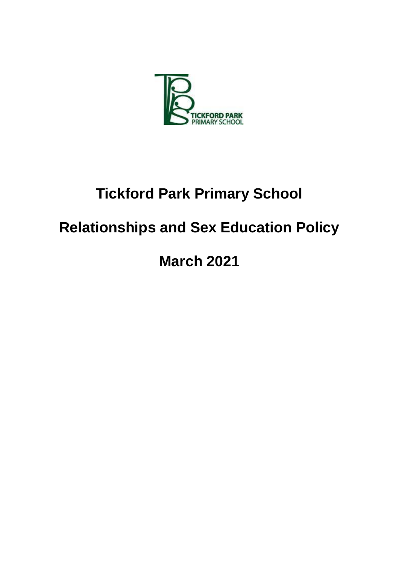

# **Tickford Park Primary School**

# **Relationships and Sex Education Policy**

**March 2021**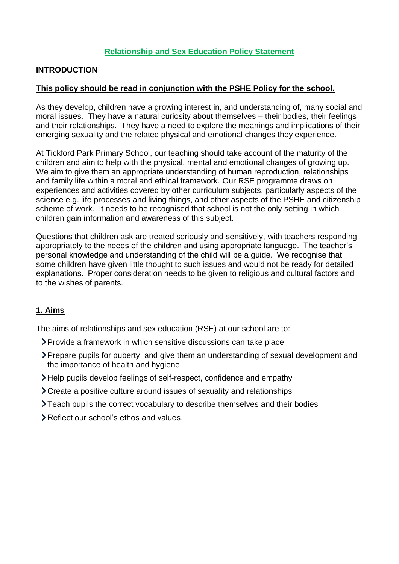# **Relationship and Sex Education Policy Statement**

# **INTRODUCTION**

## **This policy should be read in conjunction with the PSHE Policy for the school.**

As they develop, children have a growing interest in, and understanding of, many social and moral issues. They have a natural curiosity about themselves – their bodies, their feelings and their relationships. They have a need to explore the meanings and implications of their emerging sexuality and the related physical and emotional changes they experience.

At Tickford Park Primary School, our teaching should take account of the maturity of the children and aim to help with the physical, mental and emotional changes of growing up. We aim to give them an appropriate understanding of human reproduction, relationships and family life within a moral and ethical framework. Our RSE programme draws on experiences and activities covered by other curriculum subjects, particularly aspects of the science e.g. life processes and living things, and other aspects of the PSHE and citizenship scheme of work. It needs to be recognised that school is not the only setting in which children gain information and awareness of this subject.

Questions that children ask are treated seriously and sensitively, with teachers responding appropriately to the needs of the children and using appropriate language. The teacher's personal knowledge and understanding of the child will be a guide. We recognise that some children have given little thought to such issues and would not be ready for detailed explanations. Proper consideration needs to be given to religious and cultural factors and to the wishes of parents.

# **1. Aims**

The aims of relationships and sex education (RSE) at our school are to:

- Provide a framework in which sensitive discussions can take place
- Prepare pupils for puberty, and give them an understanding of sexual development and the importance of health and hygiene
- Help pupils develop feelings of self-respect, confidence and empathy
- Create a positive culture around issues of sexuality and relationships
- Teach pupils the correct vocabulary to describe themselves and their bodies
- Reflect our school's ethos and values.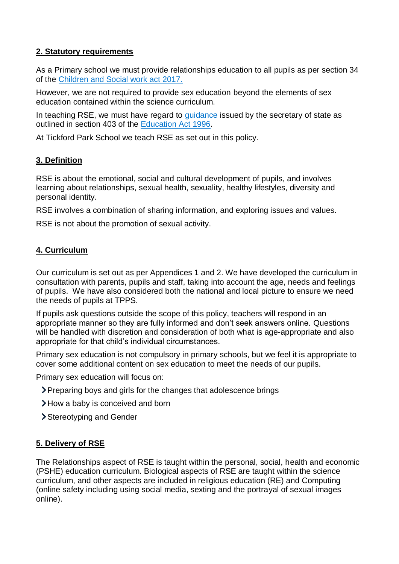# **2. Statutory requirements**

As a Primary school we must provide relationships education to all pupils as per section 34 of the [Children and Social work act 2017.](http://www.legislation.gov.uk/ukpga/2017/16/section/34/enacted)

However, we are not required to provide sex education beyond the elements of sex education contained within the science curriculum.

In teaching RSE, we must have regard to quidance issued by the secretary of state as outlined in section 403 of the [Education Act 1996.](http://www.legislation.gov.uk/ukpga/1996/56/contents)

At Tickford Park School we teach RSE as set out in this policy.

# **3. Definition**

RSE is about the emotional, social and cultural development of pupils, and involves learning about relationships, sexual health, sexuality, healthy lifestyles, diversity and personal identity.

RSE involves a combination of sharing information, and exploring issues and values.

RSE is not about the promotion of sexual activity.

# **4. Curriculum**

Our curriculum is set out as per Appendices 1 and 2. We have developed the curriculum in consultation with parents, pupils and staff, taking into account the age, needs and feelings of pupils. We have also considered both the national and local picture to ensure we need the needs of pupils at TPPS.

If pupils ask questions outside the scope of this policy, teachers will respond in an appropriate manner so they are fully informed and don't seek answers online. Questions will be handled with discretion and consideration of both what is age-appropriate and also appropriate for that child's individual circumstances.

Primary sex education is not compulsory in primary schools, but we feel it is appropriate to cover some additional content on sex education to meet the needs of our pupils.

Primary sex education will focus on:

- Preparing boys and girls for the changes that adolescence brings
- > How a baby is conceived and born
- Stereotyping and Gender

## **5. Delivery of RSE**

The Relationships aspect of RSE is taught within the personal, social, health and economic (PSHE) education curriculum. Biological aspects of RSE are taught within the science curriculum, and other aspects are included in religious education (RE) and Computing (online safety including using social media, sexting and the portrayal of sexual images online).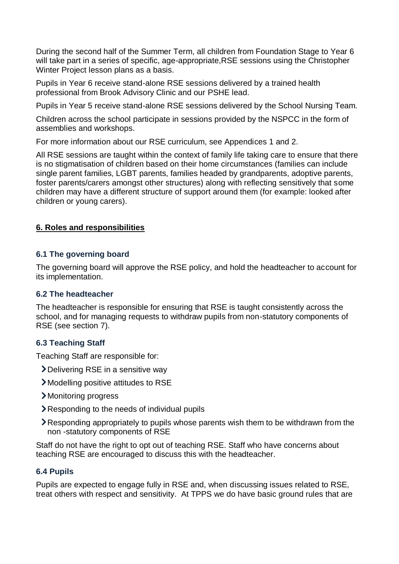During the second half of the Summer Term, all children from Foundation Stage to Year 6 will take part in a series of specific, age-appropriate,RSE sessions using the Christopher Winter Project lesson plans as a basis.

Pupils in Year 6 receive stand-alone RSE sessions delivered by a trained health professional from Brook Advisory Clinic and our PSHE lead.

Pupils in Year 5 receive stand-alone RSE sessions delivered by the School Nursing Team.

Children across the school participate in sessions provided by the NSPCC in the form of assemblies and workshops.

For more information about our RSE curriculum, see Appendices 1 and 2.

All RSE sessions are taught within the context of family life taking care to ensure that there is no stigmatisation of children based on their home circumstances (families can include single parent families, LGBT parents, families headed by grandparents, adoptive parents, foster parents/carers amongst other structures) along with reflecting sensitively that some children may have a different structure of support around them (for example: looked after children or young carers).

# **6. Roles and responsibilities**

# **6.1 The governing board**

The governing board will approve the RSE policy, and hold the headteacher to account for its implementation.

## **6.2 The headteacher**

The headteacher is responsible for ensuring that RSE is taught consistently across the school, and for managing requests to withdraw pupils from non-statutory components of RSE (see section 7).

# **6.3 Teaching Staff**

Teaching Staff are responsible for:

- Delivering RSE in a sensitive way
- Modelling positive attitudes to RSE
- Monitoring progress
- Responding to the needs of individual pupils
- Responding appropriately to pupils whose parents wish them to be withdrawn from the non -statutory components of RSE

Staff do not have the right to opt out of teaching RSE. Staff who have concerns about teaching RSE are encouraged to discuss this with the headteacher.

# **6.4 Pupils**

Pupils are expected to engage fully in RSE and, when discussing issues related to RSE, treat others with respect and sensitivity. At TPPS we do have basic ground rules that are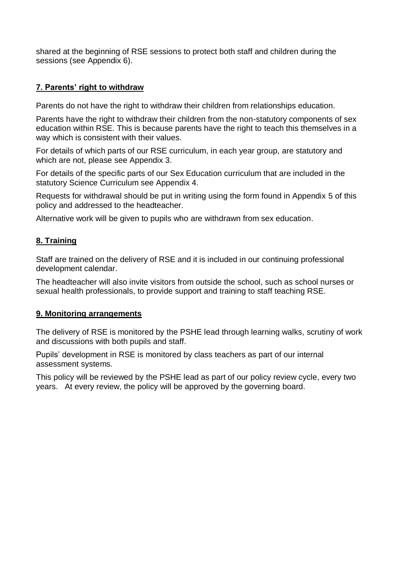shared at the beginning of RSE sessions to protect both staff and children during the sessions (see Appendix 6).

# **7. Parents' right to withdraw**

Parents do not have the right to withdraw their children from relationships education.

Parents have the right to withdraw their children from the non-statutory components of sex education within RSE. This is because parents have the right to teach this themselves in a way which is consistent with their values.

For details of which parts of our RSE curriculum, in each year group, are statutory and which are not, please see Appendix 3.

For details of the specific parts of our Sex Education curriculum that are included in the statutory Science Curriculum see Appendix 4.

Requests for withdrawal should be put in writing using the form found in Appendix 5 of this policy and addressed to the headteacher.

Alternative work will be given to pupils who are withdrawn from sex education.

# **8. Training**

Staff are trained on the delivery of RSE and it is included in our continuing professional development calendar.

The headteacher will also invite visitors from outside the school, such as school nurses or sexual health professionals, to provide support and training to staff teaching RSE.

# **9. Monitoring arrangements**

The delivery of RSE is monitored by the PSHE lead through learning walks, scrutiny of work and discussions with both pupils and staff.

Pupils' development in RSE is monitored by class teachers as part of our internal assessment systems.

This policy will be reviewed by the PSHE lead as part of our policy review cycle, every two years. At every review, the policy will be approved by the governing board.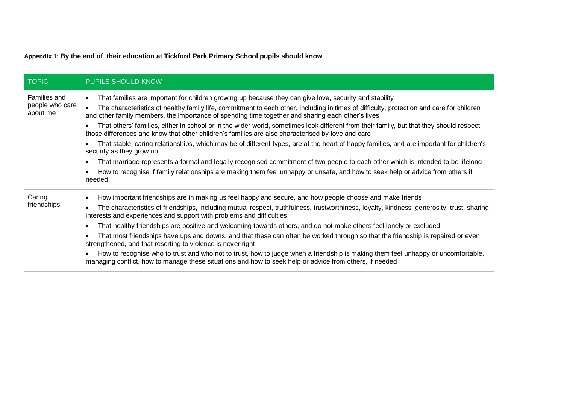# **Appendix 1: By the end of their education at Tickford Park Primary School pupils should know**

| <b>TOPIC</b>                    | <b>PUPILS SHOULD KNOW</b>                                                                                                                                                                                                                     |
|---------------------------------|-----------------------------------------------------------------------------------------------------------------------------------------------------------------------------------------------------------------------------------------------|
| Families and<br>people who care | That families are important for children growing up because they can give love, security and stability                                                                                                                                        |
| about me                        | The characteristics of healthy family life, commitment to each other, including in times of difficulty, protection and care for children<br>and other family members, the importance of spending time together and sharing each other's lives |
|                                 | That others' families, either in school or in the wider world, sometimes look different from their family, but that they should respect<br>those differences and know that other children's families are also characterised by love and care  |
|                                 | That stable, caring relationships, which may be of different types, are at the heart of happy families, and are important for children's<br>security as they grow up                                                                          |
|                                 | That marriage represents a formal and legally recognised commitment of two people to each other which is intended to be lifelong                                                                                                              |
|                                 | How to recognise if family relationships are making them feel unhappy or unsafe, and how to seek help or advice from others if<br>needed                                                                                                      |
| Caring                          | How important friendships are in making us feel happy and secure, and how people choose and make friends                                                                                                                                      |
| friendships                     | The characteristics of friendships, including mutual respect, truthfulness, trustworthiness, loyalty, kindness, generosity, trust, sharing<br>interests and experiences and support with problems and difficulties                            |
|                                 | That healthy friendships are positive and welcoming towards others, and do not make others feel lonely or excluded                                                                                                                            |
|                                 | That most friendships have ups and downs, and that these can often be worked through so that the friendship is repaired or even<br>strengthened, and that resorting to violence is never right                                                |
|                                 | How to recognise who to trust and who not to trust, how to judge when a friendship is making them feel unhappy or uncomfortable,<br>managing conflict, how to manage these situations and how to seek help or advice from others, if needed   |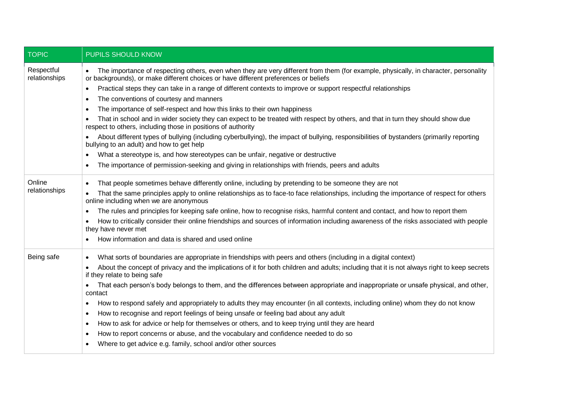| <b>TOPIC</b>                | <b>PUPILS SHOULD KNOW</b>                                                                                                                                                                                                   |
|-----------------------------|-----------------------------------------------------------------------------------------------------------------------------------------------------------------------------------------------------------------------------|
| Respectful<br>relationships | The importance of respecting others, even when they are very different from them (for example, physically, in character, personality<br>or backgrounds), or make different choices or have different preferences or beliefs |
|                             | Practical steps they can take in a range of different contexts to improve or support respectful relationships<br>$\bullet$                                                                                                  |
|                             | The conventions of courtesy and manners<br>$\bullet$                                                                                                                                                                        |
|                             | The importance of self-respect and how this links to their own happiness<br>$\bullet$                                                                                                                                       |
|                             | That in school and in wider society they can expect to be treated with respect by others, and that in turn they should show due<br>respect to others, including those in positions of authority                             |
|                             | About different types of bullying (including cyberbullying), the impact of bullying, responsibilities of bystanders (primarily reporting<br>bullying to an adult) and how to get help                                       |
|                             | What a stereotype is, and how stereotypes can be unfair, negative or destructive<br>$\bullet$                                                                                                                               |
|                             | The importance of permission-seeking and giving in relationships with friends, peers and adults<br>$\bullet$                                                                                                                |
| Online                      | That people sometimes behave differently online, including by pretending to be someone they are not<br>$\bullet$                                                                                                            |
| relationships               | That the same principles apply to online relationships as to face-to face relationships, including the importance of respect for others<br>online including when we are anonymous                                           |
|                             | The rules and principles for keeping safe online, how to recognise risks, harmful content and contact, and how to report them<br>$\bullet$                                                                                  |
|                             | How to critically consider their online friendships and sources of information including awareness of the risks associated with people<br>$\bullet$<br>they have never met                                                  |
|                             | How information and data is shared and used online                                                                                                                                                                          |
| Being safe                  | What sorts of boundaries are appropriate in friendships with peers and others (including in a digital context)                                                                                                              |
|                             | About the concept of privacy and the implications of it for both children and adults; including that it is not always right to keep secrets<br>if they relate to being safe                                                 |
|                             | That each person's body belongs to them, and the differences between appropriate and inappropriate or unsafe physical, and other,<br>contact                                                                                |
|                             | How to respond safely and appropriately to adults they may encounter (in all contexts, including online) whom they do not know<br>٠                                                                                         |
|                             | How to recognise and report feelings of being unsafe or feeling bad about any adult<br>$\bullet$                                                                                                                            |
|                             | How to ask for advice or help for themselves or others, and to keep trying until they are heard<br>٠                                                                                                                        |
|                             | How to report concerns or abuse, and the vocabulary and confidence needed to do so<br>$\bullet$                                                                                                                             |
|                             | Where to get advice e.g. family, school and/or other sources                                                                                                                                                                |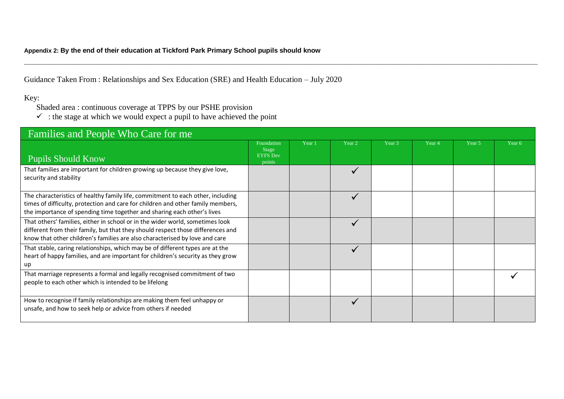#### **Appendix 2: By the end of their education at Tickford Park Primary School pupils should know**

Guidance Taken From : Relationships and Sex Education (SRE) and Health Education – July 2020

# Key:

Shaded area : continuous coverage at TPPS by our PSHE provision

 $\checkmark$  : the stage at which we would expect a pupil to have achieved the point

| Families and People Who Care for me                                                                                                                                                                                                             |                                                         |        |                   |        |                   |        |        |
|-------------------------------------------------------------------------------------------------------------------------------------------------------------------------------------------------------------------------------------------------|---------------------------------------------------------|--------|-------------------|--------|-------------------|--------|--------|
| <b>Pupils Should Know</b>                                                                                                                                                                                                                       | Foundation<br><b>Stage</b><br><b>EYFS</b> Dev<br>points | Year 1 | Year <sub>2</sub> | Year 3 | Year <sub>4</sub> | Year 5 | Year 6 |
| That families are important for children growing up because they give love,<br>security and stability                                                                                                                                           |                                                         |        | ✓                 |        |                   |        |        |
| The characteristics of healthy family life, commitment to each other, including<br>times of difficulty, protection and care for children and other family members,<br>the importance of spending time together and sharing each other's lives   |                                                         |        | $\checkmark$      |        |                   |        |        |
| That others' families, either in school or in the wider world, sometimes look<br>different from their family, but that they should respect those differences and<br>know that other children's families are also characterised by love and care |                                                         |        | $\checkmark$      |        |                   |        |        |
| That stable, caring relationships, which may be of different types are at the<br>heart of happy families, and are important for children's security as they grow<br>up                                                                          |                                                         |        | ✓                 |        |                   |        |        |
| That marriage represents a formal and legally recognised commitment of two<br>people to each other which is intended to be lifelong                                                                                                             |                                                         |        |                   |        |                   |        |        |
| How to recognise if family relationships are making them feel unhappy or<br>unsafe, and how to seek help or advice from others if needed                                                                                                        |                                                         |        |                   |        |                   |        |        |

**\_\_\_\_\_\_\_\_\_\_\_\_\_\_\_\_\_\_\_\_\_\_\_\_\_\_\_\_\_\_\_\_\_\_\_\_\_\_\_\_\_\_\_\_\_\_\_\_\_\_\_\_\_\_\_\_\_\_\_\_\_\_\_\_\_\_\_\_\_\_\_\_\_\_\_\_\_\_\_\_\_\_\_\_\_\_\_\_\_\_\_\_\_\_\_\_\_\_\_\_\_\_\_\_\_\_\_\_\_\_\_\_\_\_\_**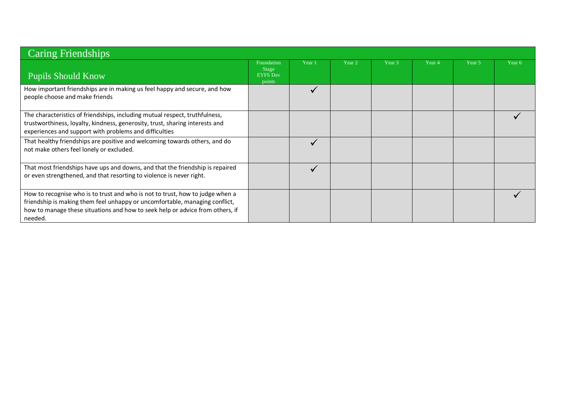| Caring Friendships                                                                                                                                                                                                                                       |                                                         |              |        |        |        |        |        |
|----------------------------------------------------------------------------------------------------------------------------------------------------------------------------------------------------------------------------------------------------------|---------------------------------------------------------|--------------|--------|--------|--------|--------|--------|
| <b>Pupils Should Know</b>                                                                                                                                                                                                                                | Foundation<br><b>Stage</b><br><b>EYFS</b> Dev<br>points | Year 1       | Year 2 | Year 3 | Year 4 | Year 5 | Year 6 |
| How important friendships are in making us feel happy and secure, and how<br>people choose and make friends                                                                                                                                              |                                                         | $\checkmark$ |        |        |        |        |        |
| The characteristics of friendships, including mutual respect, truthfulness,<br>trustworthiness, loyalty, kindness, generosity, trust, sharing interests and<br>experiences and support with problems and difficulties                                    |                                                         |              |        |        |        |        |        |
| That healthy friendships are positive and welcoming towards others, and do<br>not make others feel lonely or excluded.                                                                                                                                   |                                                         | ✓            |        |        |        |        |        |
| That most friendships have ups and downs, and that the friendship is repaired<br>or even strengthened, and that resorting to violence is never right.                                                                                                    |                                                         |              |        |        |        |        |        |
| How to recognise who is to trust and who is not to trust, how to judge when a<br>friendship is making them feel unhappy or uncomfortable, managing conflict,<br>how to manage these situations and how to seek help or advice from others, if<br>needed. |                                                         |              |        |        |        |        |        |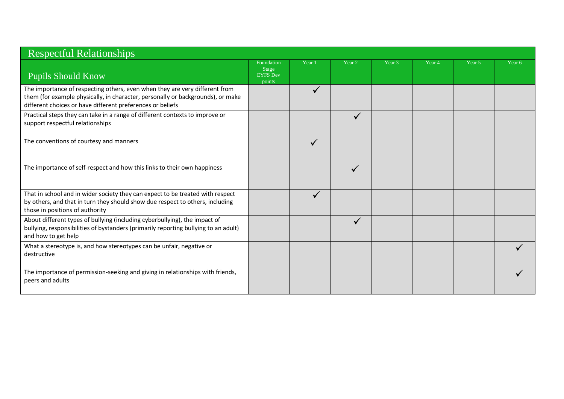| <b>Respectful Relationships</b>                                                                                                                                                                                              |                                                         |        |              |        |                   |        |        |
|------------------------------------------------------------------------------------------------------------------------------------------------------------------------------------------------------------------------------|---------------------------------------------------------|--------|--------------|--------|-------------------|--------|--------|
| <b>Pupils Should Know</b>                                                                                                                                                                                                    | Foundation<br><b>Stage</b><br><b>EYFS</b> Dev<br>points | Year 1 | Year 2       | Year 3 | Year <sub>4</sub> | Year 5 | Year 6 |
| The importance of respecting others, even when they are very different from<br>them (for example physically, in character, personally or backgrounds), or make<br>different choices or have different preferences or beliefs |                                                         | ✓      |              |        |                   |        |        |
| Practical steps they can take in a range of different contexts to improve or<br>support respectful relationships                                                                                                             |                                                         |        | $\checkmark$ |        |                   |        |        |
| The conventions of courtesy and manners                                                                                                                                                                                      |                                                         | ✓      |              |        |                   |        |        |
| The importance of self-respect and how this links to their own happiness                                                                                                                                                     |                                                         |        | ✓            |        |                   |        |        |
| That in school and in wider society they can expect to be treated with respect<br>by others, and that in turn they should show due respect to others, including<br>those in positions of authority                           |                                                         | ✓      |              |        |                   |        |        |
| About different types of bullying (including cyberbullying), the impact of<br>bullying, responsibilities of bystanders (primarily reporting bullying to an adult)<br>and how to get help                                     |                                                         |        | $\checkmark$ |        |                   |        |        |
| What a stereotype is, and how stereotypes can be unfair, negative or<br>destructive                                                                                                                                          |                                                         |        |              |        |                   |        |        |
| The importance of permission-seeking and giving in relationships with friends,<br>peers and adults                                                                                                                           |                                                         |        |              |        |                   |        |        |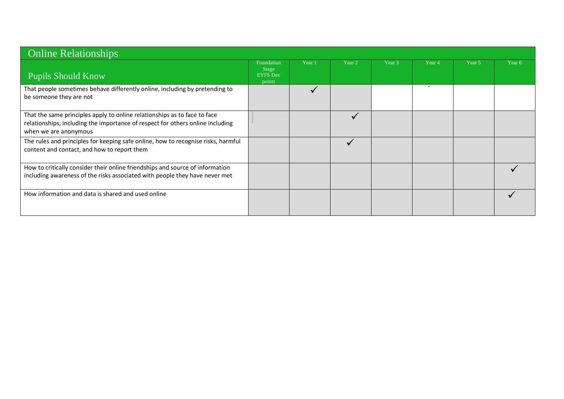| <b>Online Relationships</b>                                                                                                                                                          |                                                         |              |        |        |        |        |        |
|--------------------------------------------------------------------------------------------------------------------------------------------------------------------------------------|---------------------------------------------------------|--------------|--------|--------|--------|--------|--------|
| <b>Pupils Should Know</b>                                                                                                                                                            | Foundation<br><b>Stage</b><br><b>EYFS</b> Dev<br>points | Year 1       | Year 2 | Year 3 | Year 4 | Year 5 | Year 6 |
| That people sometimes behave differently online, including by pretending to<br>be someone they are not                                                                               |                                                         | $\checkmark$ |        |        |        |        |        |
| That the same principles apply to online relationships as to face to face<br>relationships, including the importance of respect for others online including<br>when we are anonymous |                                                         |              |        |        |        |        |        |
| The rules and principles for keeping safe online, how to recognise risks, harmful<br>content and contact, and how to report them                                                     |                                                         |              |        |        |        |        |        |
| How to critically consider their online friendships and source of information<br>including awareness of the risks associated with people they have never met                         |                                                         |              |        |        |        |        |        |
| How information and data is shared and used online                                                                                                                                   |                                                         |              |        |        |        |        |        |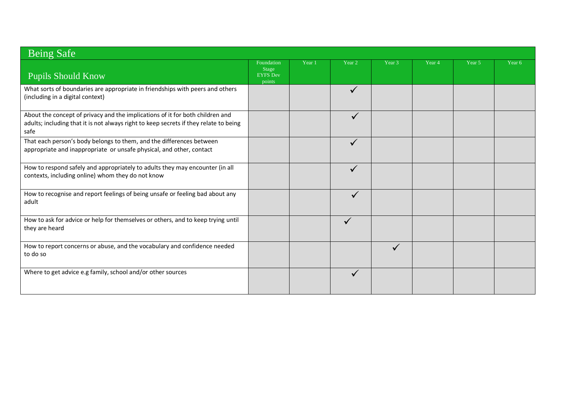| <b>Being Safe</b>                                                                                                                                                              |                                                         |        |                   |        |                   |        |        |
|--------------------------------------------------------------------------------------------------------------------------------------------------------------------------------|---------------------------------------------------------|--------|-------------------|--------|-------------------|--------|--------|
| <b>Pupils Should Know</b>                                                                                                                                                      | Foundation<br><b>Stage</b><br><b>EYFS Dev</b><br>points | Year 1 | Year <sub>2</sub> | Year 3 | Year <sub>4</sub> | Year 5 | Year 6 |
| What sorts of boundaries are appropriate in friendships with peers and others<br>(including in a digital context)                                                              |                                                         |        | ✓                 |        |                   |        |        |
| About the concept of privacy and the implications of it for both children and<br>adults; including that it is not always right to keep secrets if they relate to being<br>safe |                                                         |        | $\checkmark$      |        |                   |        |        |
| That each person's body belongs to them, and the differences between<br>appropriate and inappropriate or unsafe physical, and other, contact                                   |                                                         |        | ✓                 |        |                   |        |        |
| How to respond safely and appropriately to adults they may encounter (in all<br>contexts, including online) whom they do not know                                              |                                                         |        | $\checkmark$      |        |                   |        |        |
| How to recognise and report feelings of being unsafe or feeling bad about any<br>adult                                                                                         |                                                         |        | ✓                 |        |                   |        |        |
| How to ask for advice or help for themselves or others, and to keep trying until<br>they are heard                                                                             |                                                         |        |                   |        |                   |        |        |
| How to report concerns or abuse, and the vocabulary and confidence needed<br>to do so                                                                                          |                                                         |        |                   | ✓      |                   |        |        |
| Where to get advice e.g family, school and/or other sources                                                                                                                    |                                                         |        | ✔                 |        |                   |        |        |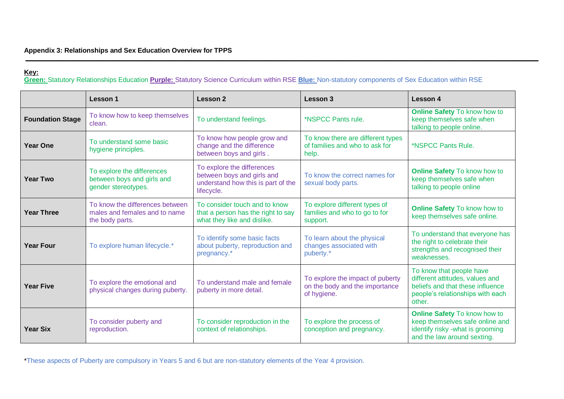#### **Key:**

**Green:** Statutory Relationships Education **Purple:** Statutory Science Curriculum within RSE **Blue:** Non-statutory components of Sex Education within RSE

**\_\_\_\_\_\_\_\_\_\_\_\_\_\_\_\_\_\_\_\_\_\_\_\_\_\_\_\_\_\_\_\_\_\_\_\_\_\_\_\_\_\_\_\_\_\_\_\_\_\_\_\_\_\_\_\_\_\_\_\_\_\_\_\_\_\_\_\_\_\_\_\_\_\_\_\_\_\_\_\_\_\_\_\_\_\_\_\_\_\_\_\_\_\_\_\_\_\_\_\_\_\_\_\_\_\_\_\_\_\_\_\_\_\_\_\_\_\_\_\_\_\_\_\_\_\_\_\_\_\_\_\_\_\_\_\_\_\_\_\_\_\_\_\_\_\_\_\_\_\_\_\_\_**

|                         | <b>Lesson 1</b>                                                                     | <b>Lesson 2</b>                                                                                              | Lesson 3                                                                          | <b>Lesson 4</b>                                                                                                                               |
|-------------------------|-------------------------------------------------------------------------------------|--------------------------------------------------------------------------------------------------------------|-----------------------------------------------------------------------------------|-----------------------------------------------------------------------------------------------------------------------------------------------|
| <b>Foundation Stage</b> | To know how to keep themselves<br>clean.                                            | To understand feelings.                                                                                      | *NSPCC Pants rule.                                                                | <b>Online Safety To know how to</b><br>keep themselves safe when<br>talking to people online.                                                 |
| <b>Year One</b>         | To understand some basic<br>hygiene principles.                                     | To know how people grow and<br>change and the difference<br>between boys and girls.                          | To know there are different types<br>of families and who to ask for<br>help.      | *NSPCC Pants Rule.                                                                                                                            |
| <b>Year Two</b>         | To explore the differences<br>between boys and girls and<br>gender stereotypes.     | To explore the differences<br>between boys and girls and<br>understand how this is part of the<br>lifecycle. | To know the correct names for<br>sexual body parts.                               | <b>Online Safety To know how to</b><br>keep themselves safe when<br>talking to people online                                                  |
| <b>Year Three</b>       | To know the differences between<br>males and females and to name<br>the body parts. | To consider touch and to know<br>that a person has the right to say<br>what they like and dislike.           | To explore different types of<br>families and who to go to for<br>support.        | <b>Online Safety To know how to</b><br>keep themselves safe online.                                                                           |
| <b>Year Four</b>        | To explore human lifecycle.*                                                        | To identify some basic facts<br>about puberty, reproduction and<br>pregnancy.*                               | To learn about the physical<br>changes associated with<br>puberty.*               | To understand that everyone has<br>the right to celebrate their<br>strengths and recognised their<br>weaknesses.                              |
| <b>Year Five</b>        | To explore the emotional and<br>physical changes during puberty.                    | To understand male and female<br>puberty in more detail.                                                     | To explore the impact of puberty<br>on the body and the importance<br>of hygiene. | To know that people have<br>different attitudes, values and<br>beliefs and that these influence<br>people's relationships with each<br>other. |
| <b>Year Six</b>         | To consider puberty and<br>reproduction.                                            | To consider reproduction in the<br>context of relationships.                                                 | To explore the process of<br>conception and pregnancy.                            | <b>Online Safety To know how to</b><br>keep themselves safe online and<br>identify risky -what is grooming<br>and the law around sexting.     |

\*These aspects of Puberty are compulsory in Years 5 and 6 but are non-statutory elements of the Year 4 provision.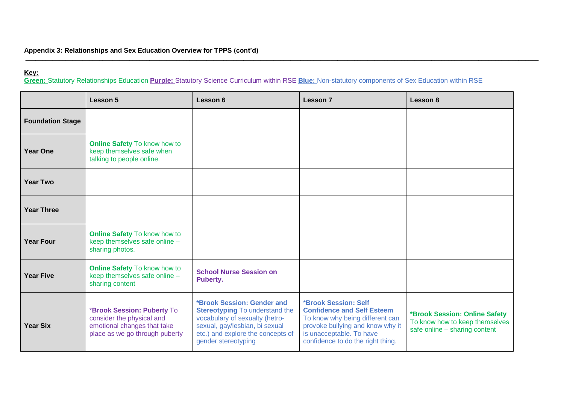#### **Key:**

**Green:** Statutory Relationships Education **Purple:** Statutory Science Curriculum within RSE **Blue:** Non-statutory components of Sex Education within RSE

**\_\_\_\_\_\_\_\_\_\_\_\_\_\_\_\_\_\_\_\_\_\_\_\_\_\_\_\_\_\_\_\_\_\_\_\_\_\_\_\_\_\_\_\_\_\_\_\_\_\_\_\_\_\_\_\_\_\_\_\_\_\_\_\_\_\_\_\_\_\_\_\_\_\_\_\_\_\_\_\_\_\_\_\_\_\_\_\_\_\_\_\_\_\_\_\_\_\_\_\_\_\_\_\_\_\_\_\_\_\_\_\_\_\_\_\_\_\_\_\_\_\_\_\_\_\_\_\_\_\_\_\_\_\_\_\_\_\_\_\_\_\_\_\_\_\_\_\_\_\_\_\_\_**

|                         | <b>Lesson 5</b>                                                                                                          | Lesson 6                                                                                                                                                                                                   | <b>Lesson 7</b>                                                                                                                                                                                          | Lesson 8                                                                                         |
|-------------------------|--------------------------------------------------------------------------------------------------------------------------|------------------------------------------------------------------------------------------------------------------------------------------------------------------------------------------------------------|----------------------------------------------------------------------------------------------------------------------------------------------------------------------------------------------------------|--------------------------------------------------------------------------------------------------|
| <b>Foundation Stage</b> |                                                                                                                          |                                                                                                                                                                                                            |                                                                                                                                                                                                          |                                                                                                  |
| <b>Year One</b>         | <b>Online Safety To know how to</b><br>keep themselves safe when<br>talking to people online.                            |                                                                                                                                                                                                            |                                                                                                                                                                                                          |                                                                                                  |
| <b>Year Two</b>         |                                                                                                                          |                                                                                                                                                                                                            |                                                                                                                                                                                                          |                                                                                                  |
| <b>Year Three</b>       |                                                                                                                          |                                                                                                                                                                                                            |                                                                                                                                                                                                          |                                                                                                  |
| <b>Year Four</b>        | <b>Online Safety To know how to</b><br>keep themselves safe online -<br>sharing photos.                                  |                                                                                                                                                                                                            |                                                                                                                                                                                                          |                                                                                                  |
| <b>Year Five</b>        | <b>Online Safety To know how to</b><br>keep themselves safe online -<br>sharing content                                  | <b>School Nurse Session on</b><br>Puberty.                                                                                                                                                                 |                                                                                                                                                                                                          |                                                                                                  |
| <b>Year Six</b>         | *Brook Session: Puberty To<br>consider the physical and<br>emotional changes that take<br>place as we go through puberty | <b>*Brook Session: Gender and</b><br><b>Stereotyping To understand the</b><br>vocabulary of sexualty (hetro-<br>sexual, gay/lesbian, bi sexual<br>etc.) and explore the concepts of<br>gender stereotyping | <b>*Brook Session: Self</b><br><b>Confidence and Self Esteem</b><br>To know why being different can<br>provoke bullying and know why it<br>is unacceptable. To have<br>confidence to do the right thing. | *Brook Session: Online Safety<br>To know how to keep themselves<br>safe online - sharing content |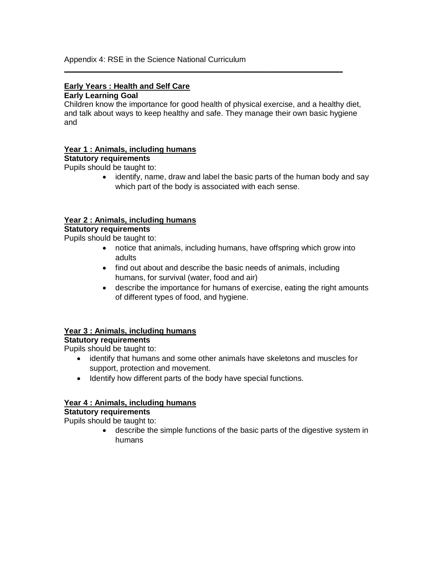## **Early Years : Health and Self Care**

#### **Early Learning Goal**

Children know the importance for good health of physical exercise, and a healthy diet, and talk about ways to keep healthy and safe. They manage their own basic hygiene and

**\_\_\_\_\_\_\_\_\_\_\_\_\_\_\_\_\_\_\_\_\_\_\_\_\_\_\_\_\_\_\_\_\_\_\_\_\_\_\_\_\_\_\_\_\_\_\_\_\_\_\_\_\_\_\_\_\_\_\_\_\_\_\_\_**

#### **Year 1 : Animals, including humans**

#### **Statutory requirements**

Pupils should be taught to:

• identify, name, draw and label the basic parts of the human body and say which part of the body is associated with each sense.

#### **Year 2 : Animals, including humans**

#### **Statutory requirements**

Pupils should be taught to:

- notice that animals, including humans, have offspring which grow into adults
- find out about and describe the basic needs of animals, including humans, for survival (water, food and air)
- describe the importance for humans of exercise, eating the right amounts of different types of food, and hygiene.

## **Year 3 : Animals, including humans**

## **Statutory requirements**

Pupils should be taught to:

- identify that humans and some other animals have skeletons and muscles for support, protection and movement.
- Identify how different parts of the body have special functions.

#### **Year 4 : Animals, including humans**

**Statutory requirements** 

Pupils should be taught to:

• describe the simple functions of the basic parts of the digestive system in humans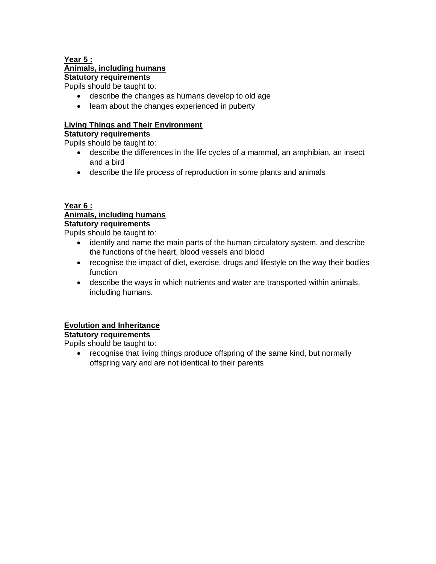# **Year 5 : Animals, including humans**

**Statutory requirements**  Pupils should be taught to:

- - describe the changes as humans develop to old age
	- learn about the changes experienced in puberty

#### **Living Things and Their Environment**

#### **Statutory requirements**

Pupils should be taught to:

- describe the differences in the life cycles of a mammal, an amphibian, an insect and a bird
- describe the life process of reproduction in some plants and animals

# **Year 6 : Animals, including humans**

**Statutory requirements** 

Pupils should be taught to:

- identify and name the main parts of the human circulatory system, and describe the functions of the heart, blood vessels and blood
- recognise the impact of diet, exercise, drugs and lifestyle on the way their bodies function
- describe the ways in which nutrients and water are transported within animals, including humans.

#### **Evolution and Inheritance**

#### **Statutory requirements**

Pupils should be taught to:

• recognise that living things produce offspring of the same kind, but normally offspring vary and are not identical to their parents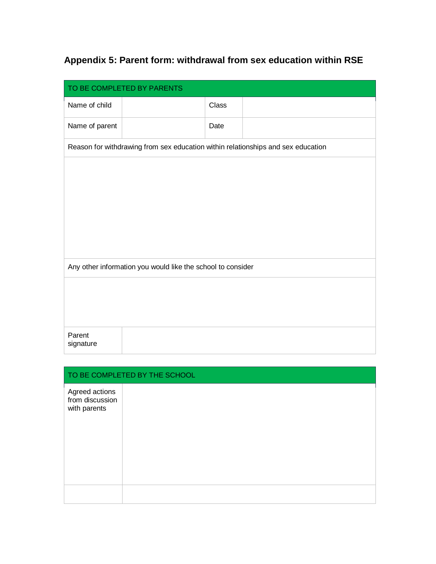# **Appendix 5: Parent form: withdrawal from sex education within RSE**

|                     | TO BE COMPLETED BY PARENTS                                                       |       |  |  |  |  |  |
|---------------------|----------------------------------------------------------------------------------|-------|--|--|--|--|--|
| Name of child       |                                                                                  | Class |  |  |  |  |  |
| Name of parent      |                                                                                  | Date  |  |  |  |  |  |
|                     | Reason for withdrawing from sex education within relationships and sex education |       |  |  |  |  |  |
|                     |                                                                                  |       |  |  |  |  |  |
|                     |                                                                                  |       |  |  |  |  |  |
|                     |                                                                                  |       |  |  |  |  |  |
|                     |                                                                                  |       |  |  |  |  |  |
|                     |                                                                                  |       |  |  |  |  |  |
|                     | Any other information you would like the school to consider                      |       |  |  |  |  |  |
|                     |                                                                                  |       |  |  |  |  |  |
|                     |                                                                                  |       |  |  |  |  |  |
|                     |                                                                                  |       |  |  |  |  |  |
| Parent<br>signature |                                                                                  |       |  |  |  |  |  |

| TO BE COMPLETED BY THE SCHOOL                     |  |  |  |  |
|---------------------------------------------------|--|--|--|--|
| Agreed actions<br>from discussion<br>with parents |  |  |  |  |
|                                                   |  |  |  |  |